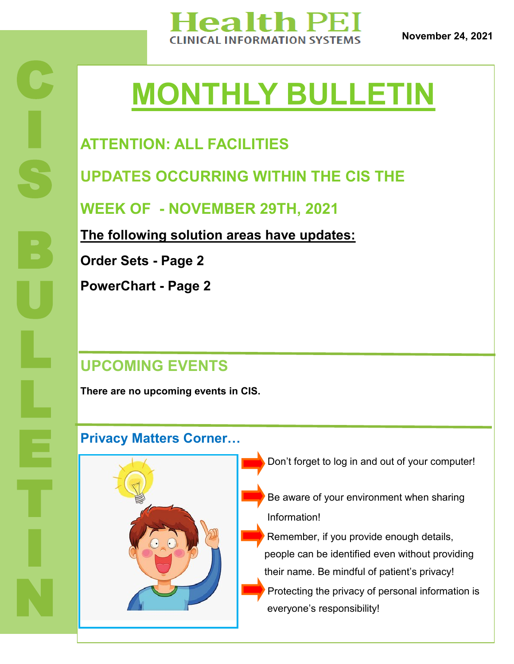

**November 24, 2021**

# **MONTHLY BULLETIN**

## **ATTENTION: ALL FACILITIES**

**UPDATES OCCURRING WITHIN THE CIS THE** 

**WEEK OF - NOVEMBER 29TH, 2021**

**The following solution areas have updates:**

**Order Sets - Page 2**

C

I

S

B

U

L

L

E

T

I

N

**PowerChart - Page 2**

### **UPCOMING EVENTS**

**There are no upcoming events in CIS.** 

#### **Privacy Matters Corner…**



- Don't forget to log in and out of your computer!
- Be aware of your environment when sharing Information!
- Remember, if you provide enough details, people can be identified even without providing their name. Be mindful of patient's privacy!
- Protecting the privacy of personal information is everyone's responsibility!